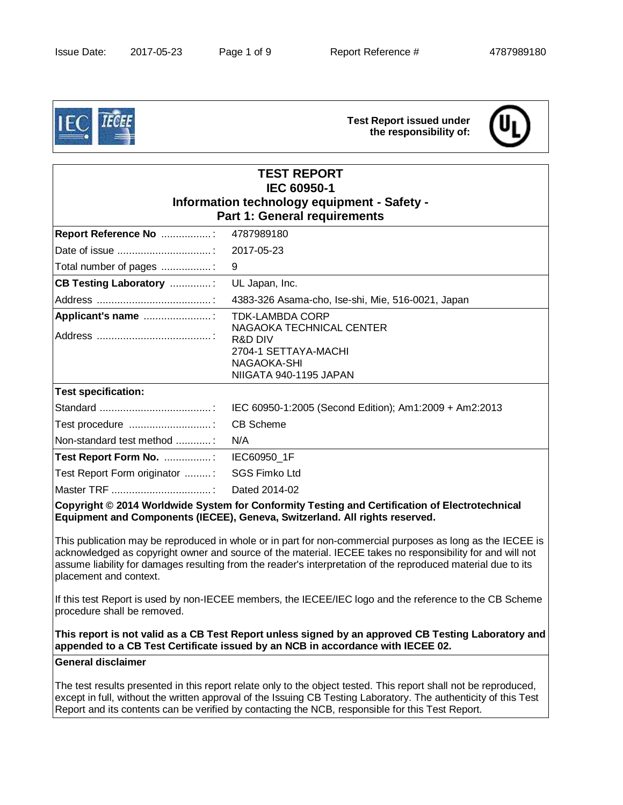

# **Test Report issued under the responsibility of:**



| <b>TEST REPORT</b><br>IEC 60950-1<br>Information technology equipment - Safety -<br><b>Part 1: General requirements</b>                                                       |                                                                                                                                           |  |  |
|-------------------------------------------------------------------------------------------------------------------------------------------------------------------------------|-------------------------------------------------------------------------------------------------------------------------------------------|--|--|
| Report Reference No :                                                                                                                                                         | 4787989180                                                                                                                                |  |  |
|                                                                                                                                                                               | 2017-05-23                                                                                                                                |  |  |
| Total number of pages :                                                                                                                                                       | 9                                                                                                                                         |  |  |
| <b>CB Testing Laboratory :</b>                                                                                                                                                | UL Japan, Inc.                                                                                                                            |  |  |
|                                                                                                                                                                               | 4383-326 Asama-cho, Ise-shi, Mie, 516-0021, Japan                                                                                         |  |  |
| Applicant's name :                                                                                                                                                            | <b>TDK-LAMBDA CORP</b><br>NAGAOKA TECHNICAL CENTER<br><b>R&amp;D DIV</b><br>2704-1 SETTAYA-MACHI<br>NAGAOKA-SHI<br>NIIGATA 940-1195 JAPAN |  |  |
| <b>Test specification:</b>                                                                                                                                                    |                                                                                                                                           |  |  |
|                                                                                                                                                                               | IEC 60950-1:2005 (Second Edition); Am1:2009 + Am2:2013                                                                                    |  |  |
| Test procedure                                                                                                                                                                | <b>CB Scheme</b>                                                                                                                          |  |  |
| Non-standard test method                                                                                                                                                      | N/A                                                                                                                                       |  |  |
| Test Report Form No. : IEC60950_1F                                                                                                                                            |                                                                                                                                           |  |  |
| Test Report Form originator :                                                                                                                                                 | <b>SGS Fimko Ltd</b>                                                                                                                      |  |  |
|                                                                                                                                                                               | Dated 2014-02                                                                                                                             |  |  |
| Copyright © 2014 Worldwide System for Conformity Testing and Certification of Electrotechnical<br>Equipment and Components (IECEE), Geneva, Switzerland. All rights reserved. |                                                                                                                                           |  |  |

This publication may be reproduced in whole or in part for non-commercial purposes as long as the IECEE is acknowledged as copyright owner and source of the material. IECEE takes no responsibility for and will not assume liability for damages resulting from the reader's interpretation of the reproduced material due to its placement and context.

If this test Report is used by non-IECEE members, the IECEE/IEC logo and the reference to the CB Scheme procedure shall be removed.

**This report is not valid as a CB Test Report unless signed by an approved CB Testing Laboratory and appended to a CB Test Certificate issued by an NCB in accordance with IECEE 02.** 

#### **General disclaimer**

The test results presented in this report relate only to the object tested. This report shall not be reproduced, except in full, without the written approval of the Issuing CB Testing Laboratory. The authenticity of this Test Report and its contents can be verified by contacting the NCB, responsible for this Test Report.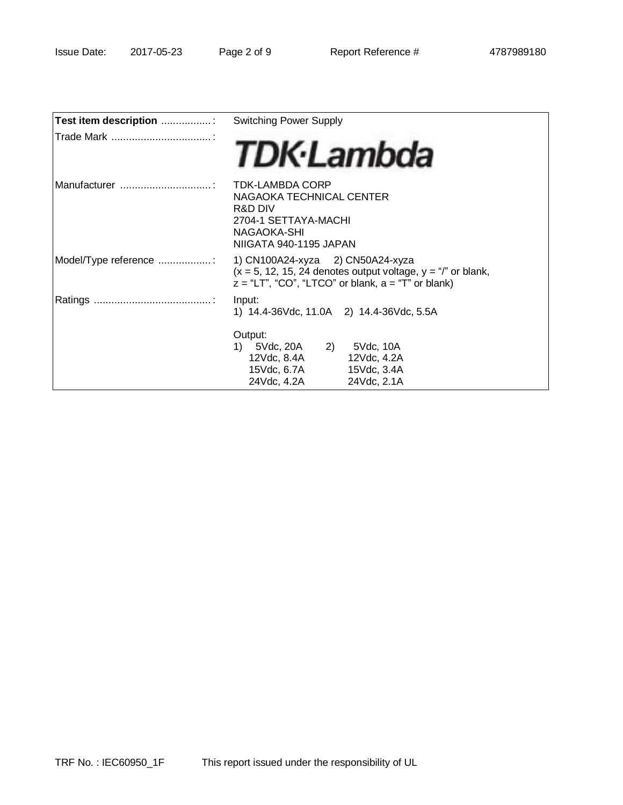| Test item description : | <b>Switching Power Supply</b>                                                                                                                                  |  |  |
|-------------------------|----------------------------------------------------------------------------------------------------------------------------------------------------------------|--|--|
|                         | <b>TDK</b> ·Lambda                                                                                                                                             |  |  |
| IManufacturer           | <b>TDK-LAMBDA CORP</b><br>NAGAOKA TECHNICAL CENTER<br>R&D DIV<br>2704-1 SETTAYA-MACHI<br>NAGAOKA-SHI<br>NIIGATA 940-1195 JAPAN                                 |  |  |
| Model/Type reference    | 1) CN100A24-xyza 2) CN50A24-xyza<br>$(x = 5, 12, 15, 24$ denotes output voltage, $y = r''$ or blank,<br>$z = "LT", "CO", "LTCO"$ or blank, $a = "T"$ or blank) |  |  |
|                         | Input:<br>1) 14.4-36Vdc, 11.0A 2) 14.4-36Vdc, 5.5A                                                                                                             |  |  |
|                         | Output:<br>5Vdc, 20A 2) 5Vdc, 10A<br>1)<br>12Vdc, 8.4A<br>12Vdc, 4.2A<br>15Vdc, 6.7A<br>15Vdc, 3.4A<br>24Vdc, 4.2A<br>24Vdc, 2.1A                              |  |  |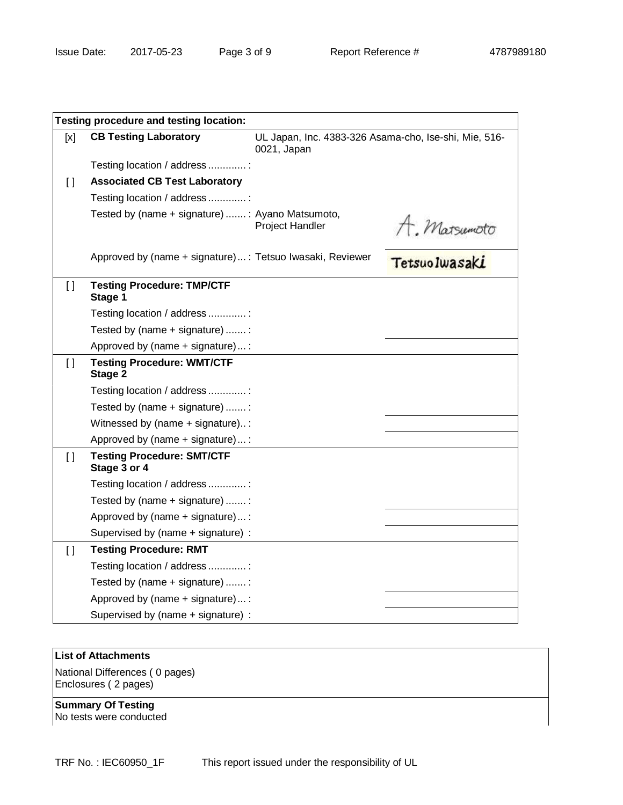| Testing procedure and testing location: |                                                           |                                                                      |                               |  |
|-----------------------------------------|-----------------------------------------------------------|----------------------------------------------------------------------|-------------------------------|--|
| [x]                                     | <b>CB Testing Laboratory</b>                              | UL Japan, Inc. 4383-326 Asama-cho, Ise-shi, Mie, 516-<br>0021, Japan |                               |  |
|                                         | Testing location / address :                              |                                                                      |                               |  |
| $\Box$                                  | <b>Associated CB Test Laboratory</b>                      |                                                                      |                               |  |
|                                         | Testing location / address :                              |                                                                      |                               |  |
|                                         | Tested by (name + signature) : Ayano Matsumoto,           | Project Handler                                                      | A. Matsumoto<br>TetsuoIwasaki |  |
|                                         | Approved by (name + signature) : Tetsuo Iwasaki, Reviewer |                                                                      |                               |  |
| $\Box$                                  | <b>Testing Procedure: TMP/CTF</b><br>Stage 1              |                                                                      |                               |  |
|                                         | Testing location / address :                              |                                                                      |                               |  |
|                                         | Tested by (name + signature) :                            |                                                                      |                               |  |
|                                         | Approved by (name + signature):                           |                                                                      |                               |  |
| $\Box$                                  | <b>Testing Procedure: WMT/CTF</b><br>Stage 2              |                                                                      |                               |  |
|                                         | Testing location / address :                              |                                                                      |                               |  |
|                                         | Tested by (name + signature) :                            |                                                                      |                               |  |
|                                         | Witnessed by (name + signature):                          |                                                                      |                               |  |
|                                         | Approved by (name + signature)  :                         |                                                                      |                               |  |
| $\Box$                                  | <b>Testing Procedure: SMT/CTF</b><br>Stage 3 or 4         |                                                                      |                               |  |
|                                         | Testing location / address :                              |                                                                      |                               |  |
|                                         | Tested by (name + signature) :                            |                                                                      |                               |  |
|                                         | Approved by (name + signature):                           |                                                                      |                               |  |
|                                         | Supervised by (name + signature) :                        |                                                                      |                               |  |
| $\Box$                                  | <b>Testing Procedure: RMT</b>                             |                                                                      |                               |  |
|                                         | Testing location / address :                              |                                                                      |                               |  |
|                                         | Tested by (name + signature) :                            |                                                                      |                               |  |
|                                         | Approved by (name + signature):                           |                                                                      |                               |  |
|                                         | Supervised by (name + signature) :                        |                                                                      |                               |  |

# **List of Attachments**

National Differences ( 0 pages) Enclosures ( 2 pages)

**Summary Of Testing** No tests were conducted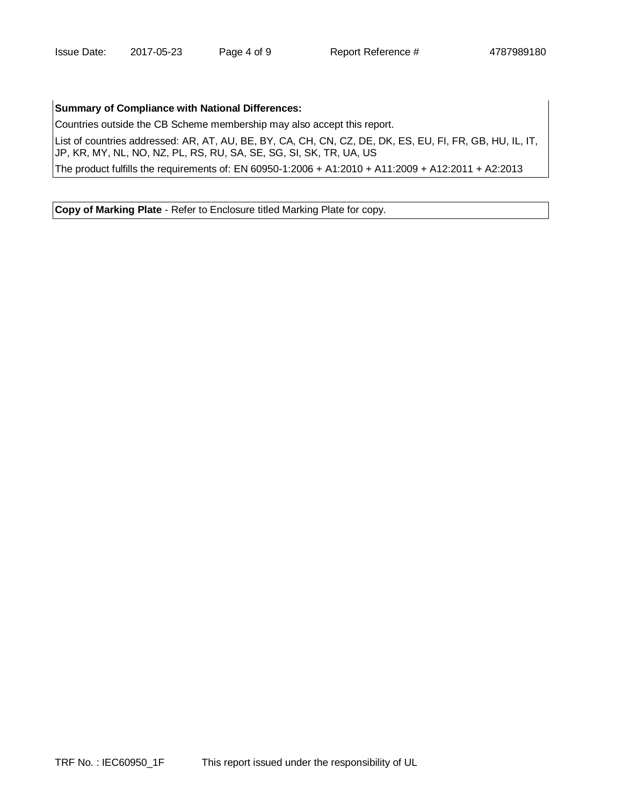#### **Summary of Compliance with National Differences:**

Countries outside the CB Scheme membership may also accept this report.

List of countries addressed: AR, AT, AU, BE, BY, CA, CH, CN, CZ, DE, DK, ES, EU, FI, FR, GB, HU, IL, IT, JP, KR, MY, NL, NO, NZ, PL, RS, RU, SA, SE, SG, SI, SK, TR, UA, US

The product fulfills the requirements of: EN 60950-1:2006 + A1:2010 + A11:2009 + A12:2011 + A2:2013

**Copy of Marking Plate** - Refer to Enclosure titled Marking Plate for copy.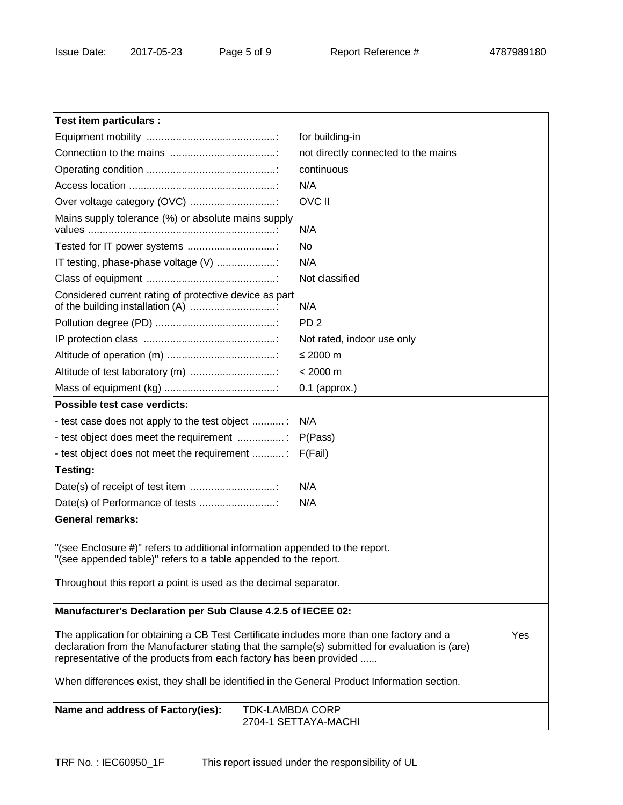| Test item particulars :                                                                                                                                                                                                                                                 |                                     |  |  |  |
|-------------------------------------------------------------------------------------------------------------------------------------------------------------------------------------------------------------------------------------------------------------------------|-------------------------------------|--|--|--|
|                                                                                                                                                                                                                                                                         | for building-in                     |  |  |  |
|                                                                                                                                                                                                                                                                         | not directly connected to the mains |  |  |  |
|                                                                                                                                                                                                                                                                         | continuous                          |  |  |  |
|                                                                                                                                                                                                                                                                         | N/A                                 |  |  |  |
| Over voltage category (OVC)                                                                                                                                                                                                                                             | <b>OVC II</b>                       |  |  |  |
| Mains supply tolerance (%) or absolute mains supply                                                                                                                                                                                                                     | N/A                                 |  |  |  |
| Tested for IT power systems                                                                                                                                                                                                                                             | No                                  |  |  |  |
| IT testing, phase-phase voltage (V)                                                                                                                                                                                                                                     | N/A                                 |  |  |  |
|                                                                                                                                                                                                                                                                         | Not classified                      |  |  |  |
| Considered current rating of protective device as part<br>of the building installation (A)                                                                                                                                                                              | N/A                                 |  |  |  |
|                                                                                                                                                                                                                                                                         | PD <sub>2</sub>                     |  |  |  |
|                                                                                                                                                                                                                                                                         | Not rated, indoor use only          |  |  |  |
|                                                                                                                                                                                                                                                                         | ≤ 2000 $m$                          |  |  |  |
| Altitude of test laboratory (m)                                                                                                                                                                                                                                         | $< 2000 \text{ m}$                  |  |  |  |
|                                                                                                                                                                                                                                                                         | $0.1$ (approx.)                     |  |  |  |
| Possible test case verdicts:                                                                                                                                                                                                                                            |                                     |  |  |  |
| - test case does not apply to the test object                                                                                                                                                                                                                           | N/A                                 |  |  |  |
| - test object does meet the requirement                                                                                                                                                                                                                                 | P(Pass)                             |  |  |  |
| - test object does not meet the requirement                                                                                                                                                                                                                             | F(Fail)                             |  |  |  |
| Testing:                                                                                                                                                                                                                                                                |                                     |  |  |  |
| Date(s) of receipt of test item                                                                                                                                                                                                                                         | N/A                                 |  |  |  |
| Date(s) of Performance of tests                                                                                                                                                                                                                                         | N/A                                 |  |  |  |
| <b>General remarks:</b>                                                                                                                                                                                                                                                 |                                     |  |  |  |
| "(see Enclosure #)" refers to additional information appended to the report.<br>"(see appended table)" refers to a table appended to the report.<br>Throughout this report a point is used as the decimal separator.                                                    |                                     |  |  |  |
| Manufacturer's Declaration per Sub Clause 4.2.5 of IECEE 02:                                                                                                                                                                                                            |                                     |  |  |  |
|                                                                                                                                                                                                                                                                         |                                     |  |  |  |
| The application for obtaining a CB Test Certificate includes more than one factory and a<br>Yes<br>declaration from the Manufacturer stating that the sample(s) submitted for evaluation is (are)<br>representative of the products from each factory has been provided |                                     |  |  |  |
| When differences exist, they shall be identified in the General Product Information section.                                                                                                                                                                            |                                     |  |  |  |
| Name and address of Factory(ies):<br><b>TDK-LAMBDA CORP</b>                                                                                                                                                                                                             | 2704-1 SETTAYA-MACHI                |  |  |  |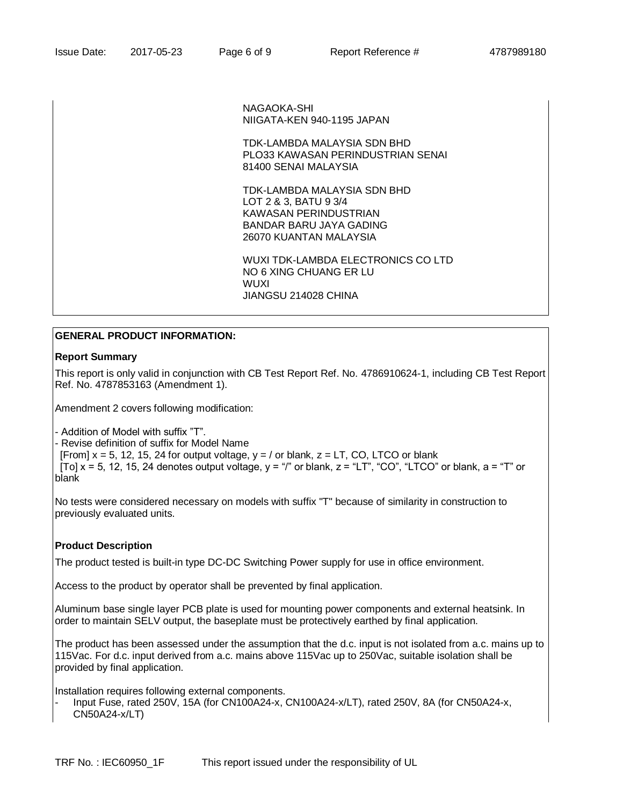NAGAOKA-SHI NIIGATA-KEN 940-1195 JAPAN

TDK-LAMBDA MALAYSIA SDN BHD PLO33 KAWASAN PERINDUSTRIAN SENAI 81400 SENAI MALAYSIA

TDK-LAMBDA MALAYSIA SDN BHD LOT 2 & 3, BATU 9 3/4 KAWASAN PERINDUSTRIAN BANDAR BARU JAYA GADING 26070 KUANTAN MALAYSIA

WUXI TDK-LAMBDA ELECTRONICS CO LTD NO 6 XING CHUANG ER LU WUXI JIANGSU 214028 CHINA

## **GENERAL PRODUCT INFORMATION:**

#### **Report Summary**

This report is only valid in conjunction with CB Test Report Ref. No. 4786910624-1, including CB Test Report Ref. No. 4787853163 (Amendment 1).

Amendment 2 covers following modification:

- Addition of Model with suffix "T".

- Revise definition of suffix for Model Name

[From]  $x = 5$ , 12, 15, 24 for output voltage,  $y = /$  or blank,  $z = LT$ , CO, LTCO or blank

[To]  $x = 5$ , 12, 15, 24 denotes output voltage,  $y = r''$  or blank,  $z = rT''$ , "CO", "LTCO" or blank,  $a = rT''$  or blank

No tests were considered necessary on models with suffix "T" because of similarity in construction to previously evaluated units.

#### **Product Description**

The product tested is built-in type DC-DC Switching Power supply for use in office environment.

Access to the product by operator shall be prevented by final application.

Aluminum base single layer PCB plate is used for mounting power components and external heatsink. In order to maintain SELV output, the baseplate must be protectively earthed by final application.

The product has been assessed under the assumption that the d.c. input is not isolated from a.c. mains up to 115Vac. For d.c. input derived from a.c. mains above 115Vac up to 250Vac, suitable isolation shall be provided by final application.

Installation requires following external components.

- Input Fuse, rated 250V, 15A (for CN100A24-x, CN100A24-x/LT), rated 250V, 8A (for CN50A24-x, CN50A24-x/LT)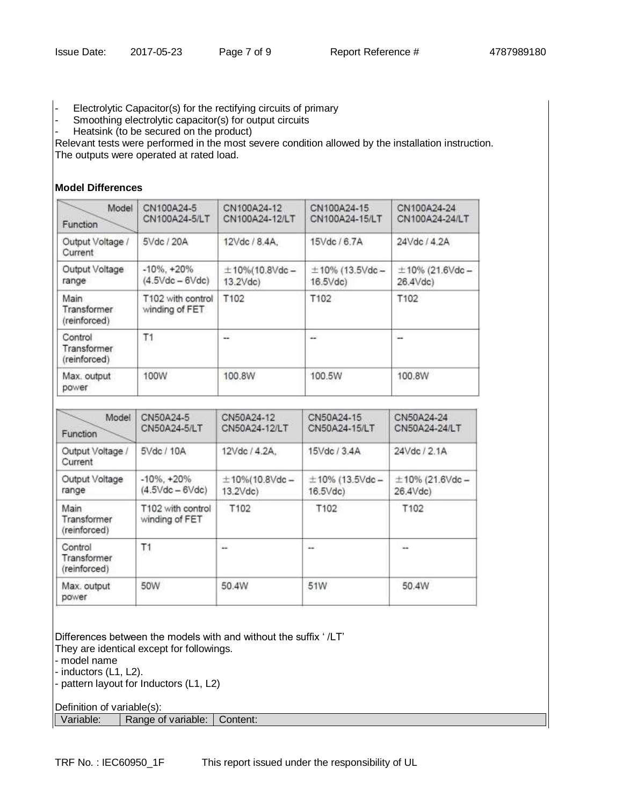- Electrolytic Capacitor(s) for the rectifying circuits of primary
- Smoothing electrolytic capacitor(s) for output circuits
- Heatsink (to be secured on the product)

Relevant tests were performed in the most severe condition allowed by the installation instruction. The outputs were operated at rated load.

## **Model Differences**

| Model<br>Function                            | CN100A24-5<br>CN100A24-5/LT                            | CN100A24-12<br>CN100A24-12/LT               | CN100A24-15<br>CN100A24-15/LT                   | CN100A24-24<br>CN100A24-24/LT    |
|----------------------------------------------|--------------------------------------------------------|---------------------------------------------|-------------------------------------------------|----------------------------------|
| Output Voltage /<br>Current                  | 5Vdc / 20A                                             | 12Vdc / 8.4A,                               | 15Vdc / 6.7A                                    | 24Vdc / 4.2A                     |
| Output Voltage<br>range                      | $-10\%$ , $+20\%$<br>$(4.5 \text{Vdc} - 6 \text{Vdc})$ | $±10\% (10.8 \text{Vdc} -$<br>$13.2$ $Vdc)$ | $\pm$ 10% (13.5Vdc -<br>$16.5$ $\forall$ dc $)$ | $\pm$ 10% (21.6Vdc -<br>26.4Vdc) |
| Main<br>Transformer<br>(reinforced)          | T102 with control<br>winding of FET                    | T102                                        | T102                                            | T102                             |
| T1<br>Control<br>Transformer<br>(reinforced) |                                                        | --                                          | $\sim$                                          | --                               |
| Max. output<br>power                         | 100W                                                   | 100.8W                                      | 100.5W                                          | 100.8W                           |

| Model<br>Function                      | CN50A24-5<br>CN50A24-5/LT                              | CN50A24-12<br>CN50A24-12/LT           | CN50A24-15<br>CN50A24-15/LT          | CN50A24-24<br>CN50A24-24/LT                   |
|----------------------------------------|--------------------------------------------------------|---------------------------------------|--------------------------------------|-----------------------------------------------|
| Output Voltage /<br>Current            | 5Vdc / 10A                                             | 12Vdc / 4.2A.                         | 15Vdc / 3.4A                         | 24Vdc / 2.1A                                  |
| Output Voltage<br>range                | $-10\%$ , $+20\%$<br>$(4.5 \text{Vdc} - 6 \text{Vdc})$ | $±10\% (10.8$ Vdc -<br>$13.2$ $Vdc$ ) | $\pm$ 10% (13.5Vdc -<br>$16.5$ $Vdc$ | $±10\%$ (21.6Vdc -<br>$26.4$ $\forall$ dc $)$ |
| Main<br>Transformer<br>(reinforced)    | T102 with control<br>winding of FET                    | T102                                  | T102                                 | T102                                          |
| Control<br>Transformer<br>(reinforced) | Τ1                                                     | ш'n.                                  | $\sim$                               | <b>Harry</b>                                  |
| Max. output<br>power                   | 50W                                                    | 50.4W                                 | 51W                                  | 50.4W                                         |

Differences between the models with and without the suffix ' /LT'

They are identical except for followings. - model name

- inductors (L1, L2).

- pattern layout for Inductors (L1, L2)

Definition of variable(s): Variable: Range of variable: Content: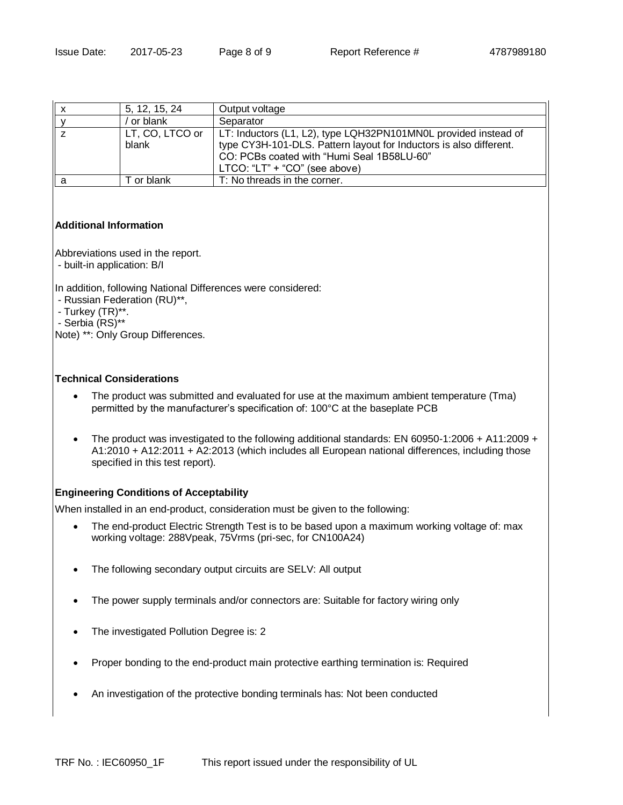|   | 5, 12, 15, 24            | Output voltage                                                                                                                                                                                                       |
|---|--------------------------|----------------------------------------------------------------------------------------------------------------------------------------------------------------------------------------------------------------------|
|   | or blank                 | Separator                                                                                                                                                                                                            |
|   | LT, CO, LTCO or<br>blank | LT: Inductors (L1, L2), type LQH32PN101MN0L provided instead of<br>type CY3H-101-DLS. Pattern layout for Inductors is also different.<br>CO: PCBs coated with "Humi Seal 1B58LU-60"<br>LTCO: "LT" + "CO" (see above) |
| а | T or blank               | T: No threads in the corner.                                                                                                                                                                                         |

## **Additional Information**

Abbreviations used in the report.

- built-in application: B/I

In addition, following National Differences were considered:

- Russian Federation (RU)\*\*,
- Turkey (TR)\*\*.

- Serbia (RS)\*\*

Note) \*\*: Only Group Differences.

## **Technical Considerations**

- The product was submitted and evaluated for use at the maximum ambient temperature (Tma) permitted by the manufacturer's specification of: 100°C at the baseplate PCB
- The product was investigated to the following additional standards: EN 60950-1:2006 + A11:2009 + A1:2010 + A12:2011 + A2:2013 (which includes all European national differences, including those specified in this test report).

## **Engineering Conditions of Acceptability**

When installed in an end-product, consideration must be given to the following:

- The end-product Electric Strength Test is to be based upon a maximum working voltage of: max working voltage: 288Vpeak, 75Vrms (pri-sec, for CN100A24)
- The following secondary output circuits are SELV: All output
- The power supply terminals and/or connectors are: Suitable for factory wiring only
- The investigated Pollution Degree is: 2
- Proper bonding to the end-product main protective earthing termination is: Required
- An investigation of the protective bonding terminals has: Not been conducted